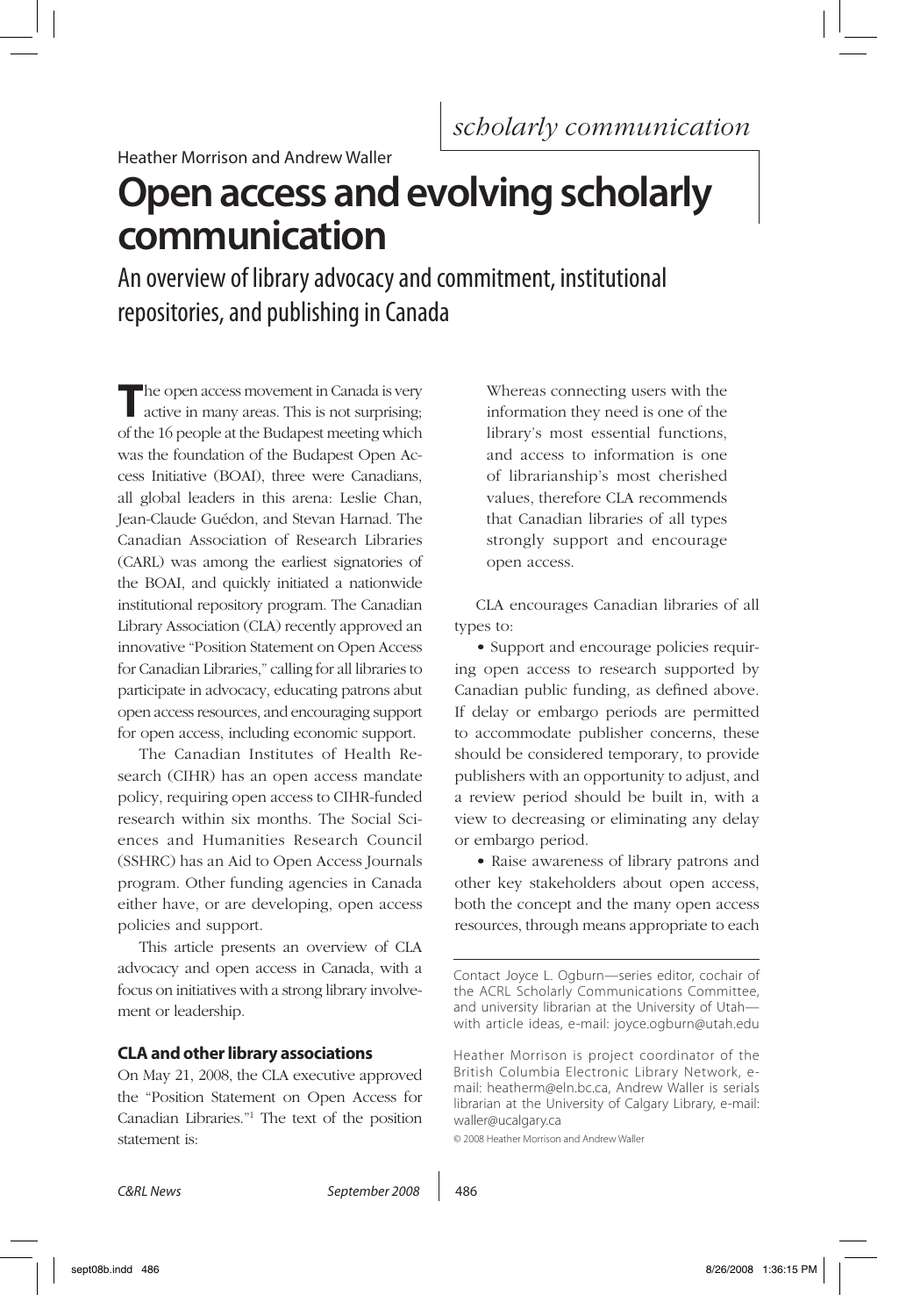# **Open access and evolving scholarly communication**

An overview of library advocacy and commitment, institutional repositories, and publishing in Canada

The open access movement in Canada is very active in many areas. This is not surprising; of the 16 people at the Budapest meeting which was the foundation of the Budapest Open Access Initiative (BOAI), three were Canadians, all global leaders in this arena: Leslie Chan, Jean-Claude Guédon, and Stevan Harnad. The Canadian Association of Research Libraries (CARL) was among the earliest signatories of the BOAI, and quickly initiated a nationwide institutional repository program. The Canadian Library Association (CLA) recently approved an innovative "Position Statement on Open Access for Canadian Libraries," calling for all libraries to participate in advocacy, educating patrons abut open access resources, and encouraging support for open access, including economic support.

The Canadian Institutes of Health Research (CIHR) has an open access mandate policy, requiring open access to CIHR-funded research within six months. The Social Sciences and Humanities Research Council (SSHRC) has an Aid to Open Access Journals program. Other funding agencies in Canada either have, or are developing, open access policies and support.

This article presents an overview of CLA advocacy and open access in Canada, with a focus on initiatives with a strong library involvement or leadership.

## **CLA and other library associations**

On May 21, 2008, the CLA executive approved the "Position Statement on Open Access for Canadian Libraries."1 The text of the position statement is:

Whereas connecting users with the information they need is one of the library's most essential functions, and access to information is one of librarianship's most cherished values, therefore CLA recommends that Canadian libraries of all types strongly support and encourage open access.

CLA encourages Canadian libraries of all types to:

• Support and encourage policies requiring open access to research supported by Canadian public funding, as defined above. If delay or embargo periods are permitted to accommodate publisher concerns, these should be considered temporary, to provide publishers with an opportunity to adjust, and a review period should be built in, with a view to decreasing or eliminating any delay or embargo period.

• Raise awareness of library patrons and other key stakeholders about open access, both the concept and the many open access resources, through means appropriate to each

© 2008 Heather Morrison and Andrew Waller

Contact Joyce L. Ogburn—series editor, cochair of the ACRL Scholarly Communications Committee, and university librarian at the University of Utah with article ideas, e-mail: joyce.ogburn@utah.edu

Heather Morrison is project coordinator of the British Columbia Electronic Library Network, email: heatherm@eln.bc.ca, Andrew Waller is serials librarian at the University of Calgary Library, e-mail: waller@ucalgary.ca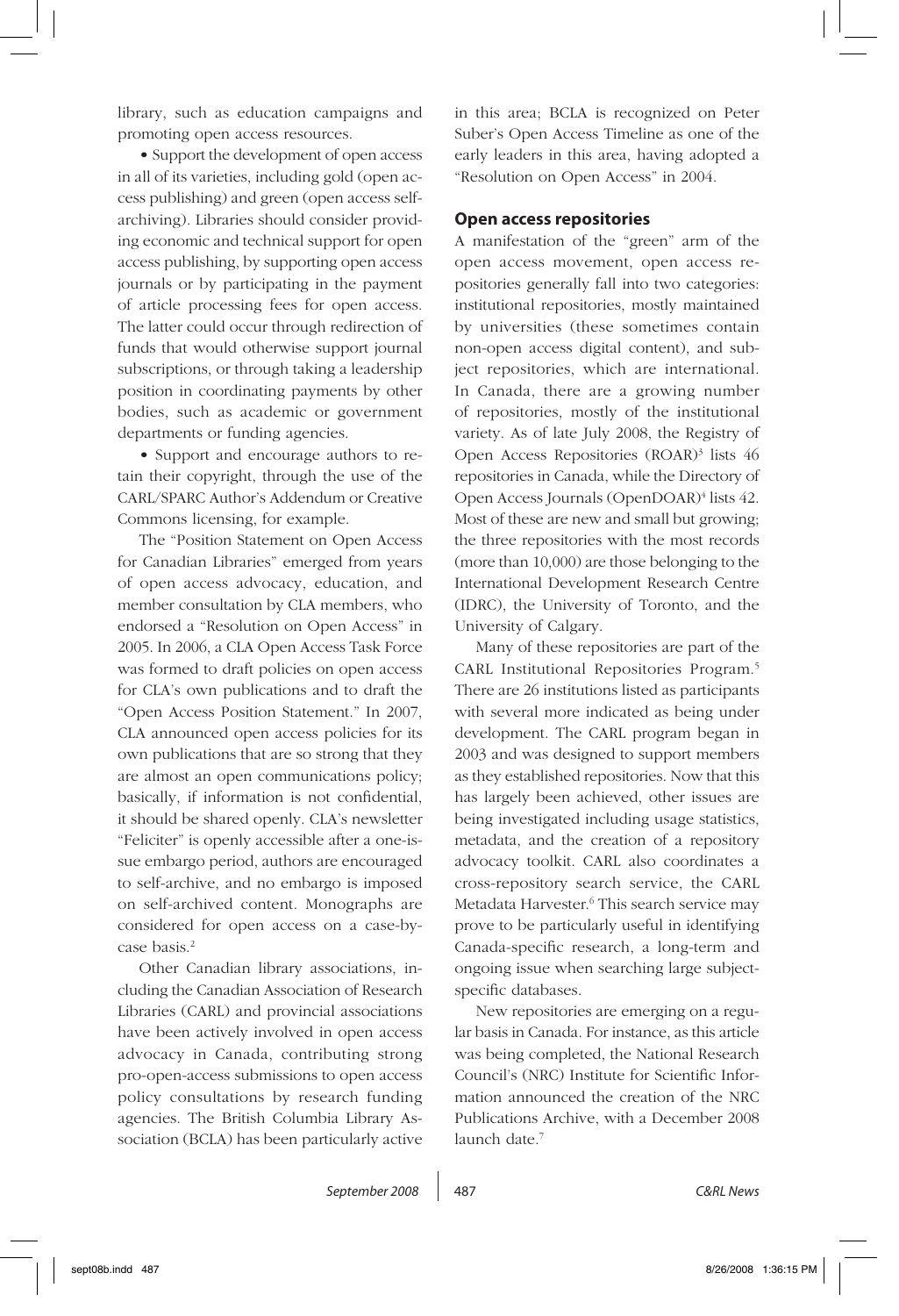library, such as education campaigns and promoting open access resources.

• Support the development of open access in all of its varieties, including gold (open access publishing) and green (open access selfarchiving). Libraries should consider providing economic and technical support for open access publishing, by supporting open access journals or by participating in the payment of article processing fees for open access. The latter could occur through redirection of funds that would otherwise support journal subscriptions, or through taking a leadership position in coordinating payments by other bodies, such as academic or government departments or funding agencies.

• Support and encourage authors to retain their copyright, through the use of the CARL/SPARC Author's Addendum or Creative Commons licensing, for example.

The "Position Statement on Open Access for Canadian Libraries" emerged from years of open access advocacy, education, and member consultation by CLA members, who endorsed a "Resolution on Open Access" in 2005. In 2006, a CLA Open Access Task Force was formed to draft policies on open access for CLA's own publications and to draft the "Open Access Position Statement." In 2007, CLA announced open access policies for its own publications that are so strong that they are almost an open communications policy; basically, if information is not confidential, it should be shared openly. CLA's newsletter "Feliciter" is openly accessible after a one-issue embargo period, authors are encouraged to self-archive, and no embargo is imposed on self-archived content. Monographs are considered for open access on a case-bycase basis.2

Other Canadian library associations, including the Canadian Association of Research Libraries (CARL) and provincial associations have been actively involved in open access advocacy in Canada, contributing strong pro-open-access submissions to open access policy consultations by research funding agencies. The British Columbia Library Association (BCLA) has been particularly active

in this area; BCLA is recognized on Peter Suber's Open Access Timeline as one of the early leaders in this area, having adopted a "Resolution on Open Access" in 2004.

#### **Open access repositories**

A manifestation of the "green" arm of the open access movement, open access repositories generally fall into two categories: institutional repositories, mostly maintained by universities (these sometimes contain non-open access digital content), and subject repositories, which are international. In Canada, there are a growing number of repositories, mostly of the institutional variety. As of late July 2008, the Registry of Open Access Repositories (ROAR)<sup>3</sup> lists 46 repositories in Canada, while the Directory of Open Access Journals (OpenDOAR)<sup>4</sup> lists 42. Most of these are new and small but growing; the three repositories with the most records (more than 10,000) are those belonging to the International Development Research Centre (IDRC), the University of Toronto, and the University of Calgary.

Many of these repositories are part of the CARL Institutional Repositories Program.5 There are 26 institutions listed as participants with several more indicated as being under development. The CARL program began in 2003 and was designed to support members as they established repositories. Now that this has largely been achieved, other issues are being investigated including usage statistics, metadata, and the creation of a repository advocacy toolkit. CARL also coordinates a cross-repository search service, the CARL Metadata Harvester.<sup>6</sup> This search service may prove to be particularly useful in identifying Canada-specific research, a long-term and ongoing issue when searching large subjectspecific databases.

New repositories are emerging on a regular basis in Canada. For instance, as this article was being completed, the National Research Council's (NRC) Institute for Scientific Information announced the creation of the NRC Publications Archive, with a December 2008 launch date.<sup>7</sup>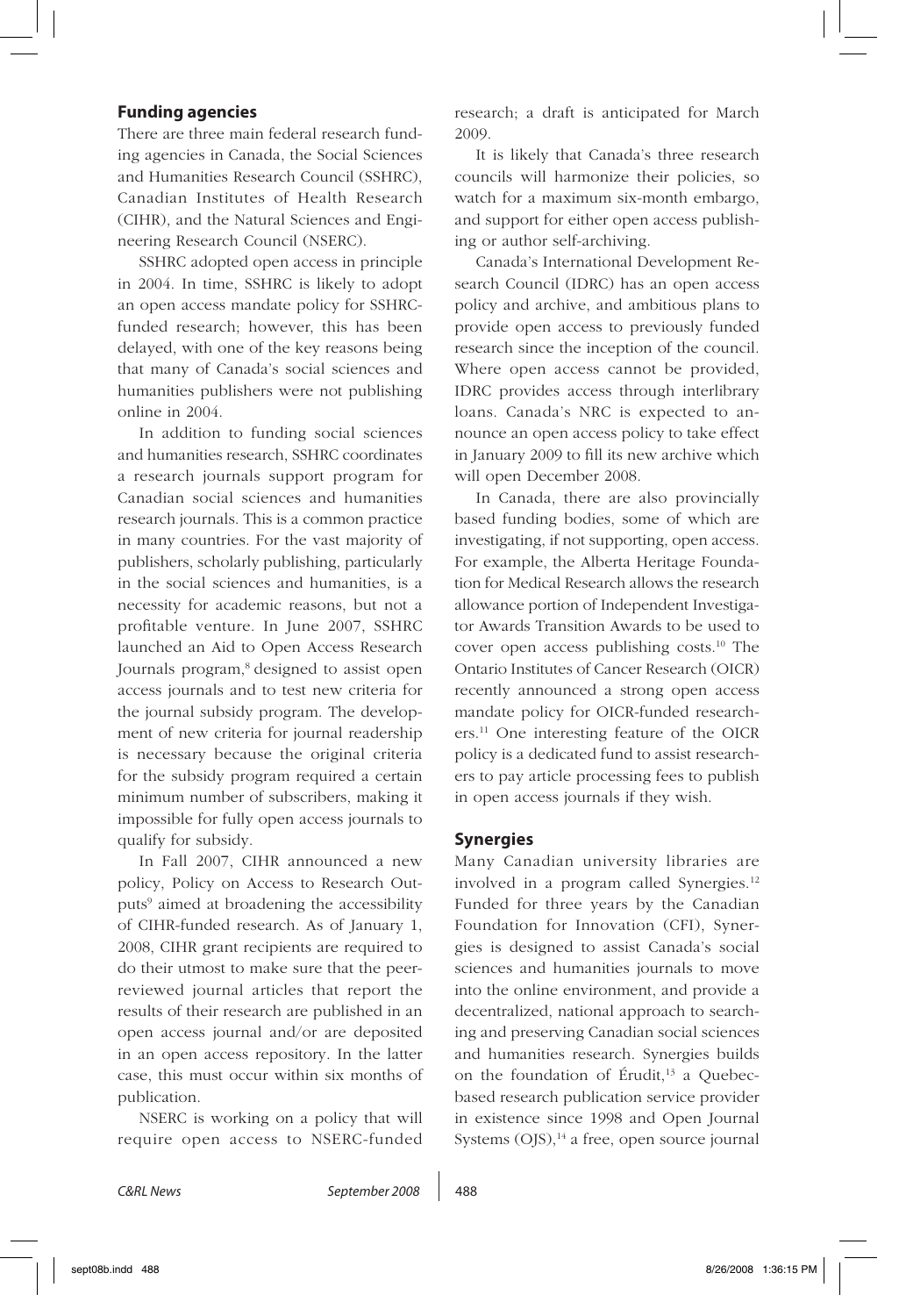#### **Funding agencies**

There are three main federal research funding agencies in Canada, the Social Sciences and Humanities Research Council (SSHRC), Canadian Institutes of Health Research (CIHR), and the Natural Sciences and Engineering Research Council (NSERC).

SSHRC adopted open access in principle in 2004. In time, SSHRC is likely to adopt an open access mandate policy for SSHRCfunded research; however, this has been delayed, with one of the key reasons being that many of Canada's social sciences and humanities publishers were not publishing online in 2004.

In addition to funding social sciences and humanities research, SSHRC coordinates a research journals support program for Canadian social sciences and humanities research journals. This is a common practice in many countries. For the vast majority of publishers, scholarly publishing, particularly in the social sciences and humanities, is a necessity for academic reasons, but not a profitable venture. In June 2007, SSHRC launched an Aid to Open Access Research Journals program,<sup>8</sup> designed to assist open access journals and to test new criteria for the journal subsidy program. The development of new criteria for journal readership is necessary because the original criteria for the subsidy program required a certain minimum number of subscribers, making it impossible for fully open access journals to qualify for subsidy.

In Fall 2007, CIHR announced a new policy, Policy on Access to Research Outputs<sup>9</sup> aimed at broadening the accessibility of CIHR-funded research. As of January 1, 2008, CIHR grant recipients are required to do their utmost to make sure that the peerreviewed journal articles that report the results of their research are published in an open access journal and/or are deposited in an open access repository. In the latter case, this must occur within six months of publication.

NSERC is working on a policy that will require open access to NSERC-funded

research; a draft is anticipated for March 2009.

It is likely that Canada's three research councils will harmonize their policies, so watch for a maximum six-month embargo, and support for either open access publishing or author self-archiving.

Canada's International Development Research Council (IDRC) has an open access policy and archive, and ambitious plans to provide open access to previously funded research since the inception of the council. Where open access cannot be provided, IDRC provides access through interlibrary loans. Canada's NRC is expected to announce an open access policy to take effect in January 2009 to fill its new archive which will open December 2008.

In Canada, there are also provincially based funding bodies, some of which are investigating, if not supporting, open access. For example, the Alberta Heritage Foundation for Medical Research allows the research allowance portion of Independent Investigator Awards Transition Awards to be used to cover open access publishing costs.10 The Ontario Institutes of Cancer Research (OICR) recently announced a strong open access mandate policy for OICR-funded researchers.11 One interesting feature of the OICR policy is a dedicated fund to assist researchers to pay article processing fees to publish in open access journals if they wish.

#### **Synergies**

Many Canadian university libraries are involved in a program called Synergies.12 Funded for three years by the Canadian Foundation for Innovation (CFI), Synergies is designed to assist Canada's social sciences and humanities journals to move into the online environment, and provide a decentralized, national approach to searching and preserving Canadian social sciences and humanities research. Synergies builds on the foundation of Érudit, $13$  a Quebecbased research publication service provider in existence since 1998 and Open Journal Systems  $(OJS)$ ,<sup>14</sup> a free, open source journal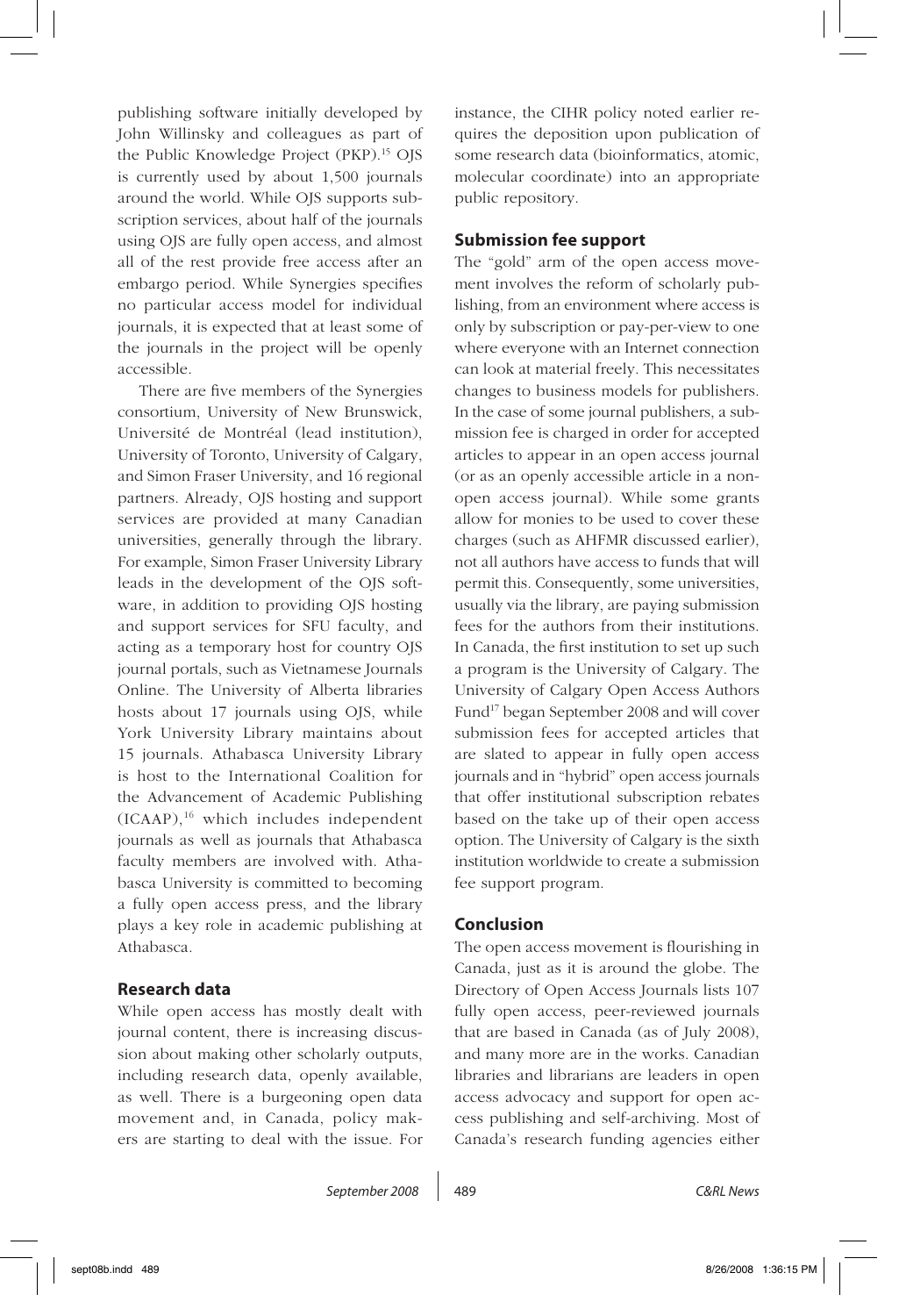publishing software initially developed by John Willinsky and colleagues as part of the Public Knowledge Project (PKP).15 OJS is currently used by about 1,500 journals around the world. While OJS supports subscription services, about half of the journals using OJS are fully open access, and almost all of the rest provide free access after an embargo period. While Synergies specifies no particular access model for individual journals, it is expected that at least some of the journals in the project will be openly accessible.

There are five members of the Synergies consortium, University of New Brunswick, Université de Montréal (lead institution), University of Toronto, University of Calgary, and Simon Fraser University, and 16 regional partners. Already, OJS hosting and support services are provided at many Canadian universities, generally through the library. For example, Simon Fraser University Library leads in the development of the OJS software, in addition to providing OJS hosting and support services for SFU faculty, and acting as a temporary host for country OJS journal portals, such as Vietnamese Journals Online. The University of Alberta libraries hosts about 17 journals using OJS, while York University Library maintains about 15 journals. Athabasca University Library is host to the International Coalition for the Advancement of Academic Publishing (ICAAP),<sup>16</sup> which includes independent journals as well as journals that Athabasca faculty members are involved with. Athabasca University is committed to becoming a fully open access press, and the library plays a key role in academic publishing at Athabasca.

## **Research data**

While open access has mostly dealt with journal content, there is increasing discussion about making other scholarly outputs, including research data, openly available, as well. There is a burgeoning open data movement and, in Canada, policy makers are starting to deal with the issue. For instance, the CIHR policy noted earlier requires the deposition upon publication of some research data (bioinformatics, atomic, molecular coordinate) into an appropriate public repository.

### **Submission fee support**

The "gold" arm of the open access movement involves the reform of scholarly publishing, from an environment where access is only by subscription or pay-per-view to one where everyone with an Internet connection can look at material freely. This necessitates changes to business models for publishers. In the case of some journal publishers, a submission fee is charged in order for accepted articles to appear in an open access journal (or as an openly accessible article in a nonopen access journal). While some grants allow for monies to be used to cover these charges (such as AHFMR discussed earlier), not all authors have access to funds that will permit this. Consequently, some universities, usually via the library, are paying submission fees for the authors from their institutions. In Canada, the first institution to set up such a program is the University of Calgary. The University of Calgary Open Access Authors Fund<sup>17</sup> began September 2008 and will cover submission fees for accepted articles that are slated to appear in fully open access journals and in "hybrid" open access journals that offer institutional subscription rebates based on the take up of their open access option. The University of Calgary is the sixth institution worldwide to create a submission fee support program.

#### **Conclusion**

The open access movement is flourishing in Canada, just as it is around the globe. The Directory of Open Access Journals lists 107 fully open access, peer-reviewed journals that are based in Canada (as of July 2008), and many more are in the works. Canadian libraries and librarians are leaders in open access advocacy and support for open access publishing and self-archiving. Most of Canada's research funding agencies either